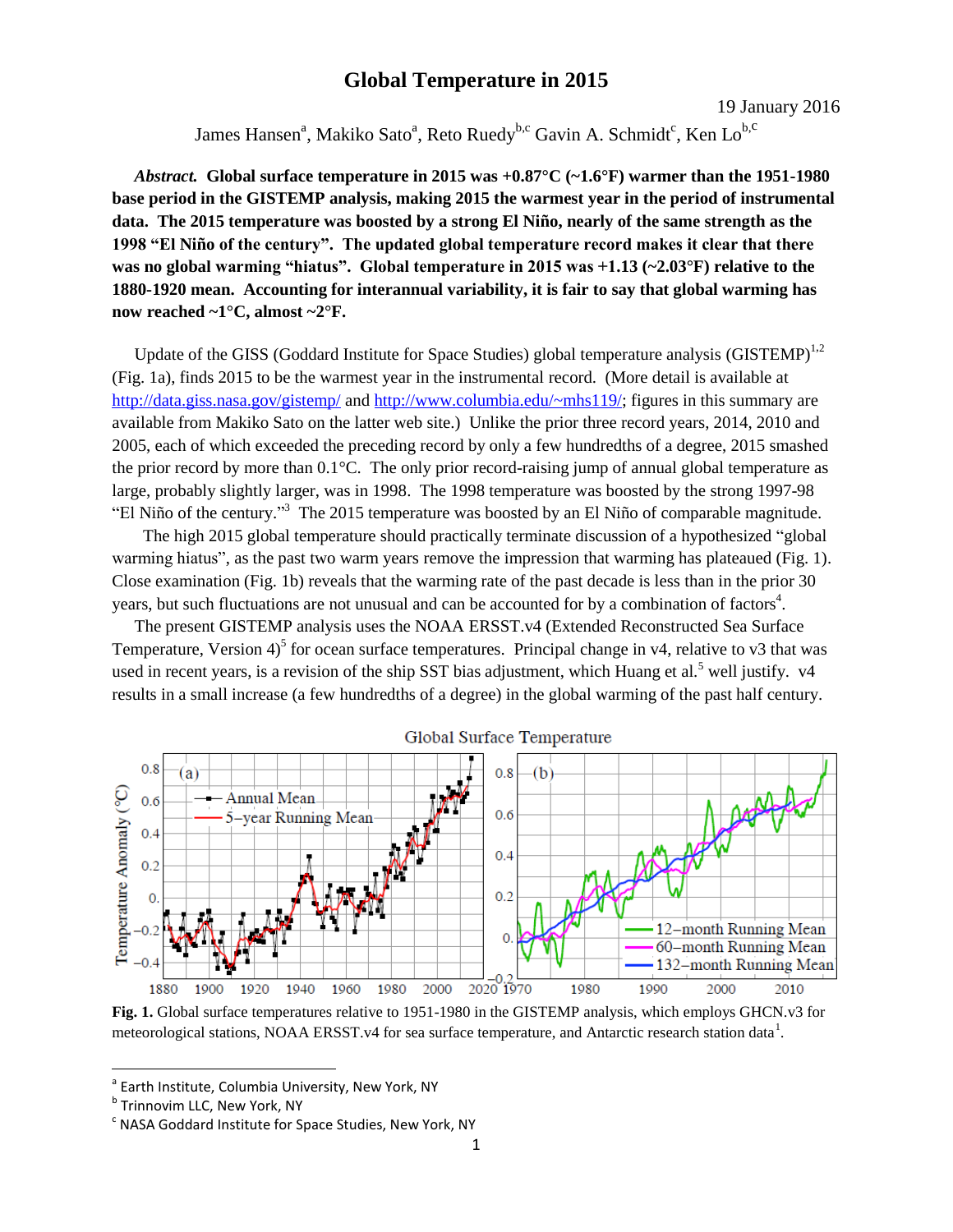## **Global Temperature in 2015**

19 January 2016

James Hansen<sup>a</sup>, Makiko Sato<sup>a</sup>, Reto Ruedy<sup>b,c</sup> Gavin A. Schmidt<sup>c</sup>, Ken Lo<sup>b,c</sup>

*Abstract.* **Global surface temperature in 2015 was +0.87°C (~1.6°F) warmer than the 1951-1980 base period in the GISTEMP analysis, making 2015 the warmest year in the period of instrumental data. The 2015 temperature was boosted by a strong El Niño, nearly of the same strength as the 1998 "El Niño of the century". The updated global temperature record makes it clear that there was no global warming "hiatus". Global temperature in 2015 was +1.13 (~2.03°F) relative to the 1880-1920 mean. Accounting for interannual variability, it is fair to say that global warming has now reached ~1°C, almost ~2°F.**

Update of the GISS (Goddard Institute for Space Studies) global temperature analysis (GISTEMP) $^{1,2}$ (Fig. 1a), finds 2015 to be the warmest year in the instrumental record. (More detail is available at <http://data.giss.nasa.gov/gistemp/> and [http://www.columbia.edu/~mhs119/;](http://www.columbia.edu/~mhs119/) figures in this summary are available from Makiko Sato on the latter web site.) Unlike the prior three record years, 2014, 2010 and 2005, each of which exceeded the preceding record by only a few hundredths of a degree, 2015 smashed the prior record by more than 0.1°C. The only prior record-raising jump of annual global temperature as large, probably slightly larger, was in 1998. The 1998 temperature was boosted by the strong 1997-98 "El Niño of the century." 3 The 2015 temperature was boosted by an El Niño of comparable magnitude.

 The high 2015 global temperature should practically terminate discussion of a hypothesized "global warming hiatus", as the past two warm years remove the impression that warming has plateaued (Fig. 1). Close examination (Fig. 1b) reveals that the warming rate of the past decade is less than in the prior 30 years, but such fluctuations are not unusual and can be accounted for by a combination of factors<sup>4</sup>.

The present GISTEMP analysis uses the NOAA ERSST.v4 (Extended Reconstructed Sea Surface Temperature, Version  $4^{\circ}$  for ocean surface temperatures. Principal change in v4, relative to v3 that was used in recent years, is a revision of the ship SST bias adjustment, which Huang et al.<sup>5</sup> well justify.  $v4$ results in a small increase (a few hundredths of a degree) in the global warming of the past half century.



**Fig. 1.** Global surface temperatures relative to 1951-1980 in the GISTEMP analysis, which employs GHCN.v3 for meteorological stations, NOAA ERSST.v4 for sea surface temperature, and Antarctic research station data<sup>1</sup>.

 $\overline{a}$ 

<sup>&</sup>lt;sup>a</sup> Earth Institute, Columbia University, New York, NY

 $^{\rm b}$  Trinnovim LLC, New York, NY

 $\textdegree$  NASA Goddard Institute for Space Studies, New York, NY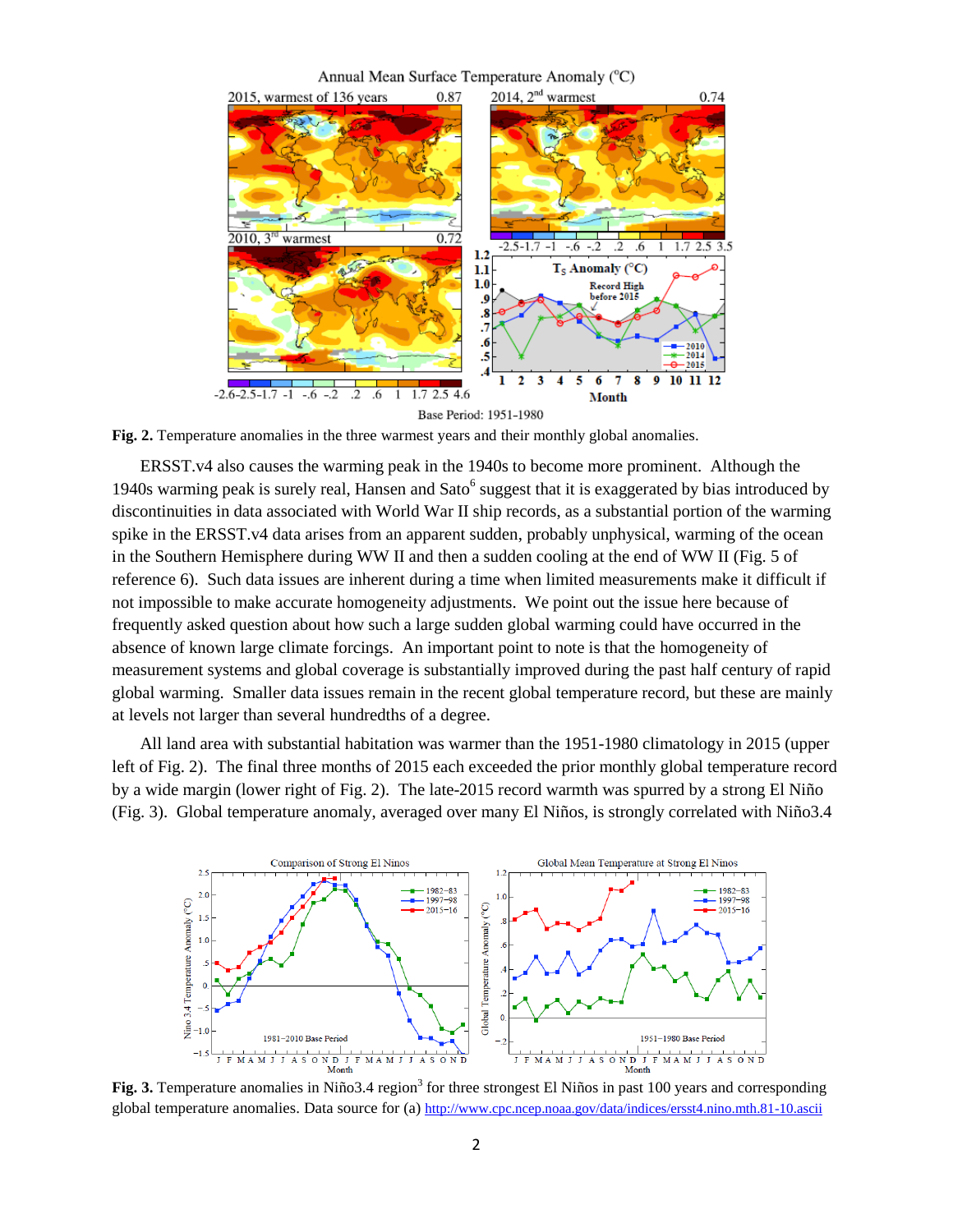## Annual Mean Surface Temperature Anomaly (°C)



**Fig. 2.** Temperature anomalies in the three warmest years and their monthly global anomalies.

ERSST.v4 also causes the warming peak in the 1940s to become more prominent. Although the 1940s warming peak is surely real, Hansen and Sato $<sup>6</sup>$  suggest that it is exaggerated by bias introduced by</sup> discontinuities in data associated with World War II ship records, as a substantial portion of the warming spike in the ERSST.v4 data arises from an apparent sudden, probably unphysical, warming of the ocean in the Southern Hemisphere during WW II and then a sudden cooling at the end of WW II (Fig. 5 of reference 6). Such data issues are inherent during a time when limited measurements make it difficult if not impossible to make accurate homogeneity adjustments. We point out the issue here because of frequently asked question about how such a large sudden global warming could have occurred in the absence of known large climate forcings. An important point to note is that the homogeneity of measurement systems and global coverage is substantially improved during the past half century of rapid global warming. Smaller data issues remain in the recent global temperature record, but these are mainly at levels not larger than several hundredths of a degree.

All land area with substantial habitation was warmer than the 1951-1980 climatology in 2015 (upper left of Fig. 2). The final three months of 2015 each exceeded the prior monthly global temperature record by a wide margin (lower right of Fig. 2). The late-2015 record warmth was spurred by a strong El Niño (Fig. 3). Global temperature anomaly, averaged over many El Niños, is strongly correlated with Niño3.4



**Fig. 3.** Temperature anomalies in Niño3.4 region<sup>3</sup> for three strongest El Niños in past 100 years and corresponding global temperature anomalies. Data source for (a) <http://www.cpc.ncep.noaa.gov/data/indices/ersst4.nino.mth.81-10.ascii>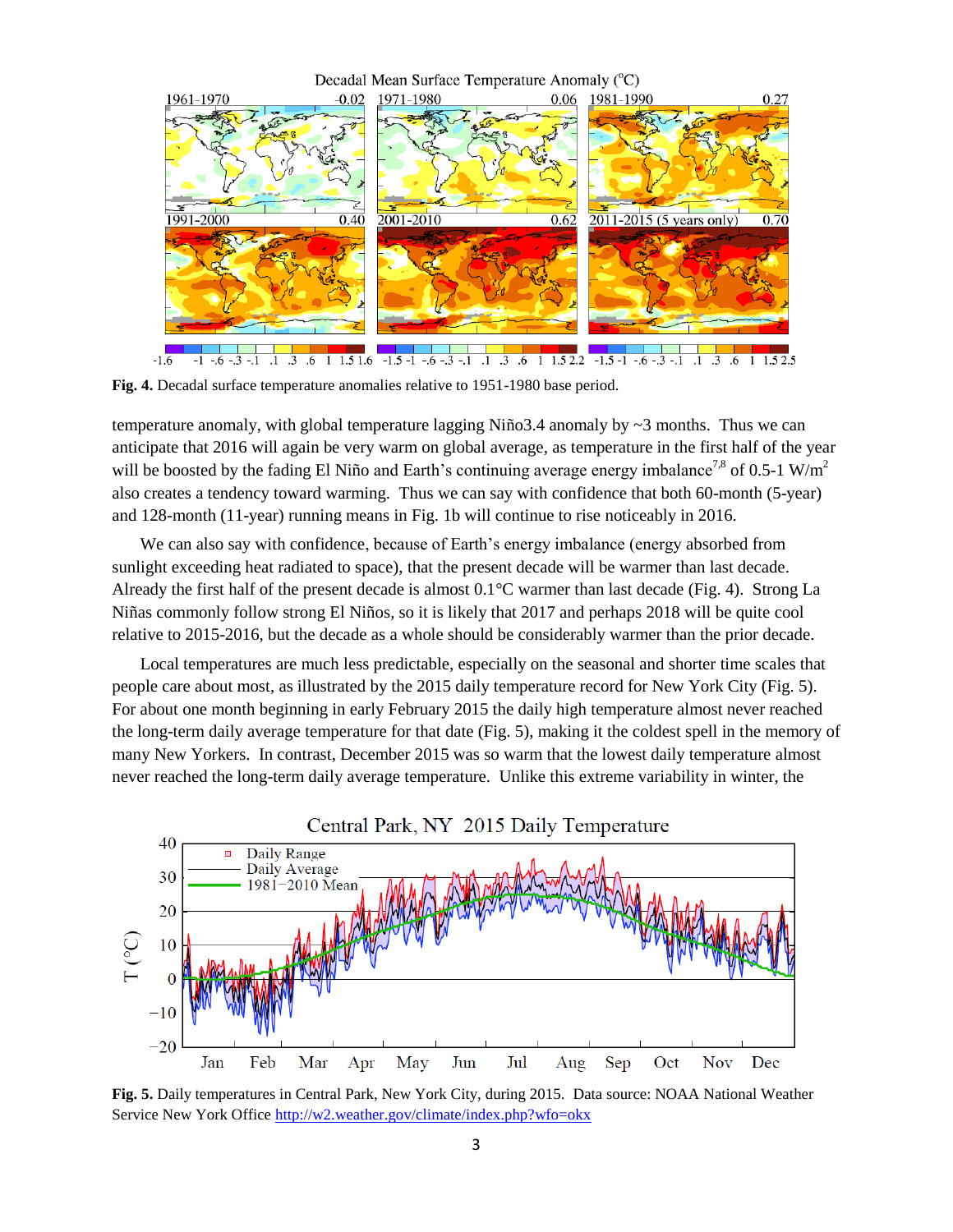

**Fig. 4.** Decadal surface temperature anomalies relative to 1951-1980 base period.

temperature anomaly, with global temperature lagging Niño3.4 anomaly by  $\sim$ 3 months. Thus we can anticipate that 2016 will again be very warm on global average, as temperature in the first half of the year will be boosted by the fading El Niño and Earth's continuing average energy imbalance<sup>7,8</sup> of 0.5-1 W/m<sup>2</sup> also creates a tendency toward warming. Thus we can say with confidence that both 60-month (5-year) and 128-month (11-year) running means in Fig. 1b will continue to rise noticeably in 2016.

We can also say with confidence, because of Earth's energy imbalance (energy absorbed from sunlight exceeding heat radiated to space), that the present decade will be warmer than last decade. Already the first half of the present decade is almost 0.1°C warmer than last decade (Fig. 4). Strong La Niñas commonly follow strong El Niños, so it is likely that 2017 and perhaps 2018 will be quite cool relative to 2015-2016, but the decade as a whole should be considerably warmer than the prior decade.

Local temperatures are much less predictable, especially on the seasonal and shorter time scales that people care about most, as illustrated by the 2015 daily temperature record for New York City (Fig. 5). For about one month beginning in early February 2015 the daily high temperature almost never reached the long-term daily average temperature for that date (Fig. 5), making it the coldest spell in the memory of many New Yorkers. In contrast, December 2015 was so warm that the lowest daily temperature almost never reached the long-term daily average temperature. Unlike this extreme variability in winter, the



**Fig. 5.** Daily temperatures in Central Park, New York City, during 2015. Data source: NOAA National Weather Service New York Office<http://w2.weather.gov/climate/index.php?wfo=okx>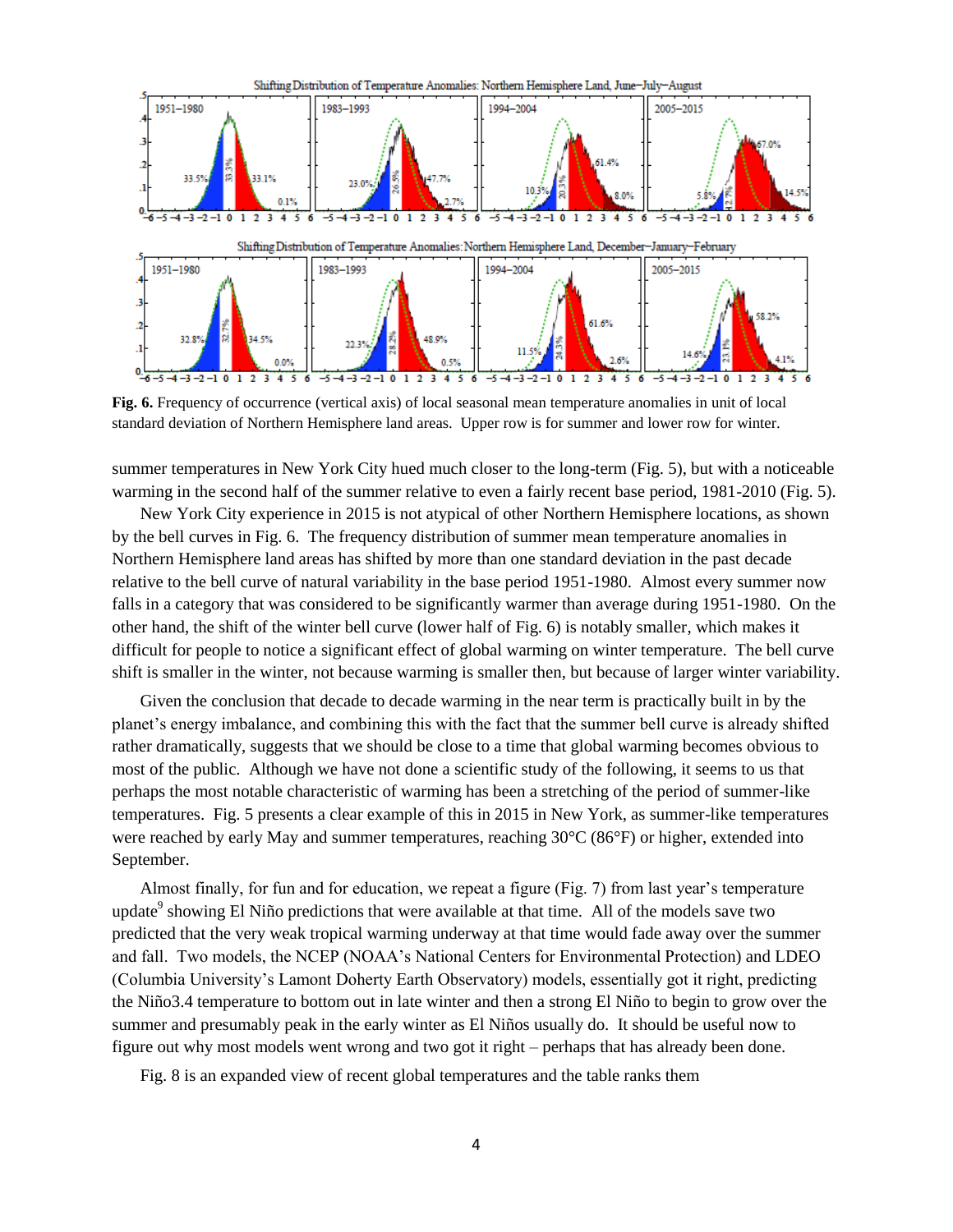

**Fig. 6.** Frequency of occurrence (vertical axis) of local seasonal mean temperature anomalies in unit of local standard deviation of Northern Hemisphere land areas. Upper row is for summer and lower row for winter.

summer temperatures in New York City hued much closer to the long-term (Fig. 5), but with a noticeable warming in the second half of the summer relative to even a fairly recent base period, 1981-2010 (Fig. 5).

New York City experience in 2015 is not atypical of other Northern Hemisphere locations, as shown by the bell curves in Fig. 6. The frequency distribution of summer mean temperature anomalies in Northern Hemisphere land areas has shifted by more than one standard deviation in the past decade relative to the bell curve of natural variability in the base period 1951-1980. Almost every summer now falls in a category that was considered to be significantly warmer than average during 1951-1980. On the other hand, the shift of the winter bell curve (lower half of Fig. 6) is notably smaller, which makes it difficult for people to notice a significant effect of global warming on winter temperature. The bell curve shift is smaller in the winter, not because warming is smaller then, but because of larger winter variability.

Given the conclusion that decade to decade warming in the near term is practically built in by the planet's energy imbalance, and combining this with the fact that the summer bell curve is already shifted rather dramatically, suggests that we should be close to a time that global warming becomes obvious to most of the public. Although we have not done a scientific study of the following, it seems to us that perhaps the most notable characteristic of warming has been a stretching of the period of summer-like temperatures. Fig. 5 presents a clear example of this in 2015 in New York, as summer-like temperatures were reached by early May and summer temperatures, reaching 30°C (86°F) or higher, extended into September.

Almost finally, for fun and for education, we repeat a figure (Fig. 7) from last year's temperature update<sup>9</sup> showing El Niño predictions that were available at that time. All of the models save two predicted that the very weak tropical warming underway at that time would fade away over the summer and fall. Two models, the NCEP (NOAA's National Centers for Environmental Protection) and LDEO (Columbia University's Lamont Doherty Earth Observatory) models, essentially got it right, predicting the Niño3.4 temperature to bottom out in late winter and then a strong El Niño to begin to grow over the summer and presumably peak in the early winter as El Niños usually do. It should be useful now to figure out why most models went wrong and two got it right – perhaps that has already been done.

Fig. 8 is an expanded view of recent global temperatures and the table ranks them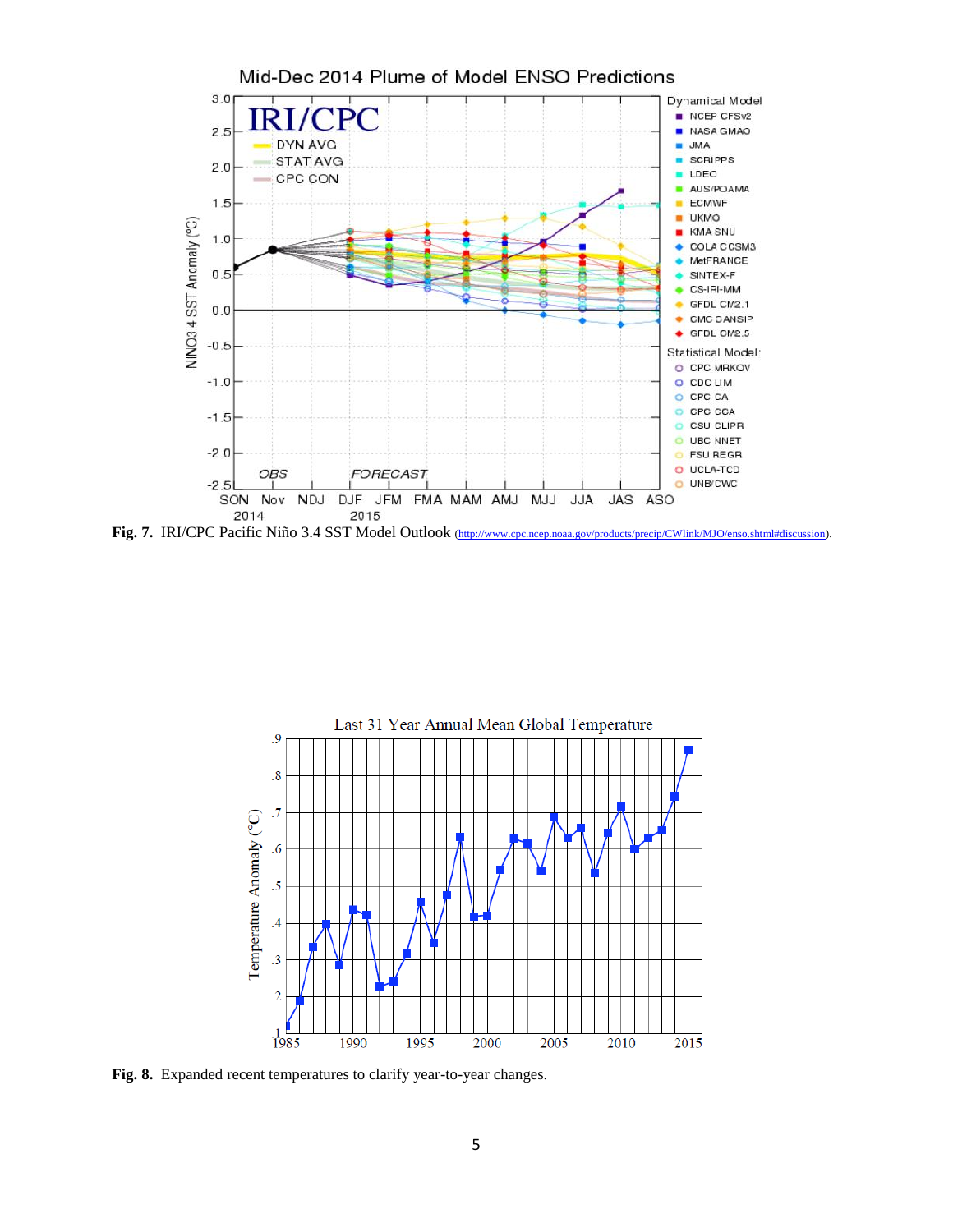

Fig. 7. IRI/CPC Pacific Niño 3.4 SST Model Outlook [\(http://www.cpc.ncep.noaa.gov/products/precip/CWlink/MJO/enso.shtml#discussion\).](http://www.cpc.ncep.noaa.gov/products/precip/CWlink/MJO/enso.shtml#discussion)



**Fig. 8.** Expanded recent temperatures to clarify year-to-year changes.